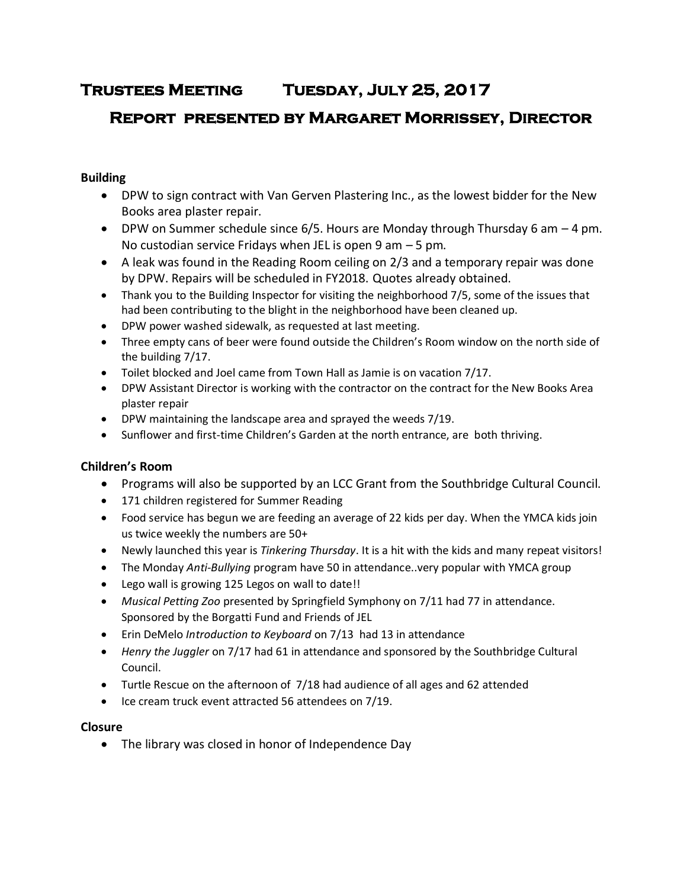# **Trustees Meeting Tuesday, July 25, 2017**

# **Report presented by Margaret Morrissey, Director**

# **Building**

- DPW to sign contract with Van Gerven Plastering Inc., as the lowest bidder for the New Books area plaster repair.
- $\bullet$  DPW on Summer schedule since 6/5. Hours are Monday through Thursday 6 am  $-4$  pm. No custodian service Fridays when JEL is open 9 am – 5 pm.
- A leak was found in the Reading Room ceiling on 2/3 and a temporary repair was done by DPW. Repairs will be scheduled in FY2018. Quotes already obtained.
- Thank you to the Building Inspector for visiting the neighborhood 7/5, some of the issues that had been contributing to the blight in the neighborhood have been cleaned up.
- DPW power washed sidewalk, as requested at last meeting.
- Three empty cans of beer were found outside the Children's Room window on the north side of the building 7/17.
- Toilet blocked and Joel came from Town Hall as Jamie is on vacation 7/17.
- DPW Assistant Director is working with the contractor on the contract for the New Books Area plaster repair
- DPW maintaining the landscape area and sprayed the weeds 7/19.
- Sunflower and first-time Children's Garden at the north entrance, are both thriving.

# **Children's Room**

- Programs will also be supported by an LCC Grant from the Southbridge Cultural Council.
- 171 children registered for Summer Reading
- Food service has begun we are feeding an average of 22 kids per day. When the YMCA kids join us twice weekly the numbers are 50+
- Newly launched this year is *Tinkering Thursday*. It is a hit with the kids and many repeat visitors!
- The Monday *Anti-Bullying* program have 50 in attendance..very popular with YMCA group
- Lego wall is growing 125 Legos on wall to date!!
- *Musical Petting Zoo* presented by Springfield Symphony on 7/11 had 77 in attendance. Sponsored by the Borgatti Fund and Friends of JEL
- Erin DeMelo *Introduction to Keyboard* on 7/13 had 13 in attendance
- *Henry the Juggler* on 7/17 had 61 in attendance and sponsored by the Southbridge Cultural Council.
- Turtle Rescue on the afternoon of 7/18 had audience of all ages and 62 attended
- Ice cream truck event attracted 56 attendees on 7/19.

# **Closure**

The library was closed in honor of Independence Day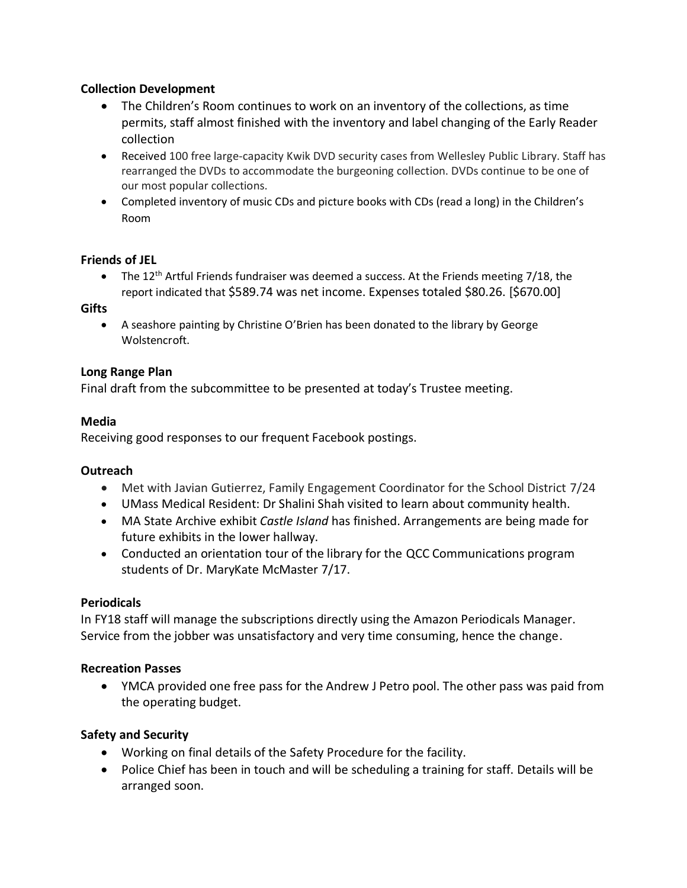## **Collection Development**

- The Children's Room continues to work on an inventory of the collections, as time permits, staff almost finished with the inventory and label changing of the Early Reader collection
- Received 100 free large-capacity Kwik DVD security cases from Wellesley Public Library. Staff has rearranged the DVDs to accommodate the burgeoning collection. DVDs continue to be one of our most popular collections.
- Completed inventory of music CDs and picture books with CDs (read a long) in the Children's Room

## **Friends of JEL**

• The 12<sup>th</sup> Artful Friends fundraiser was deemed a success. At the Friends meeting 7/18, the report indicated that \$589.74 was net income. Expenses totaled \$80.26. [\$670.00]

## **Gifts**

 A seashore painting by Christine O'Brien has been donated to the library by George Wolstencroft.

## **Long Range Plan**

Final draft from the subcommittee to be presented at today's Trustee meeting.

## **Media**

Receiving good responses to our frequent Facebook postings.

#### **Outreach**

- Met with Javian Gutierrez, Family Engagement Coordinator for the School District 7/24
- UMass Medical Resident: Dr Shalini Shah visited to learn about community health.
- MA State Archive exhibit *Castle Island* has finished. Arrangements are being made for future exhibits in the lower hallway.
- Conducted an orientation tour of the library for the QCC Communications program students of Dr. MaryKate McMaster 7/17.

#### **Periodicals**

In FY18 staff will manage the subscriptions directly using the Amazon Periodicals Manager. Service from the jobber was unsatisfactory and very time consuming, hence the change.

#### **Recreation Passes**

 YMCA provided one free pass for the Andrew J Petro pool. The other pass was paid from the operating budget.

# **Safety and Security**

- Working on final details of the Safety Procedure for the facility.
- Police Chief has been in touch and will be scheduling a training for staff. Details will be arranged soon.